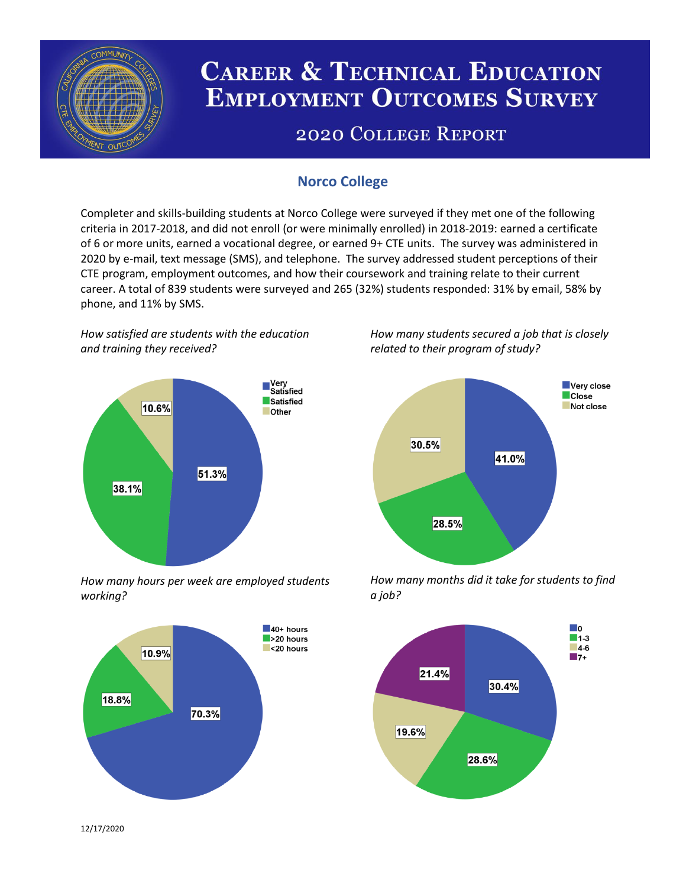

# **CAREER & TECHNICAL EDUCATION EMPLOYMENT OUTCOMES SURVEY**

## **2020 COLLEGE REPORT**

## **Norco College**

Completer and skills-building students at Norco College were surveyed if they met one of the following criteria in 2017-2018, and did not enroll (or were minimally enrolled) in 2018-2019: earned a certificate of 6 or more units, earned a vocational degree, or earned 9+ CTE units. The survey was administered in 2020 by e-mail, text message (SMS), and telephone. The survey addressed student perceptions of their CTE program, employment outcomes, and how their coursework and training relate to their current career. A total of 839 students were surveyed and 265 (32%) students responded: 31% by email, 58% by phone, and 11% by SMS.

*How satisfied are students with the education and training they received?*



*How many hours per week are employed students working?*



*How many students secured a job that is closely related to their program of study?*



*How many months did it take for students to find a job?*



12/17/2020